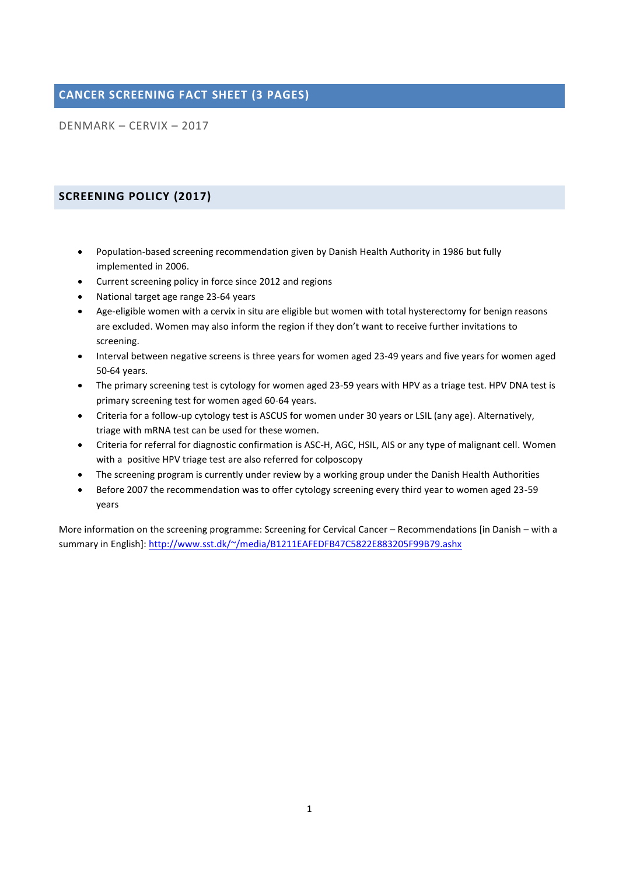# **CANCER SCREENING FACT SHEET (3 PAGES)**

DENMARK – CERVIX – 2017

## **SCREENING POLICY (2017)**

- Population-based screening recommendation given by Danish Health Authority in 1986 but fully implemented in 2006.
- Current screening policy in force since 2012 and regions
- National target age range 23-64 years
- Age-eligible women with a cervix in situ are eligible but women with total hysterectomy for benign reasons are excluded. Women may also inform the region if they don't want to receive further invitations to screening.
- Interval between negative screens is three years for women aged 23-49 years and five years for women aged 50-64 years.
- The primary screening test is cytology for women aged 23-59 years with HPV as a triage test. HPV DNA test is primary screening test for women aged 60-64 years.
- Criteria for a follow-up cytology test is ASCUS for women under 30 years or LSIL (any age). Alternatively, triage with mRNA test can be used for these women.
- Criteria for referral for diagnostic confirmation is ASC-H, AGC, HSIL, AIS or any type of malignant cell. Women with a positive HPV triage test are also referred for colposcopy
- The screening program is currently under review by a working group under the Danish Health Authorities
- Before 2007 the recommendation was to offer cytology screening every third year to women aged 23-59 years

More information on the screening programme: Screening for Cervical Cancer – Recommendations [in Danish – with a summary in English]:<http://www.sst.dk/~/media/B1211EAFEDFB47C5822E883205F99B79.ashx>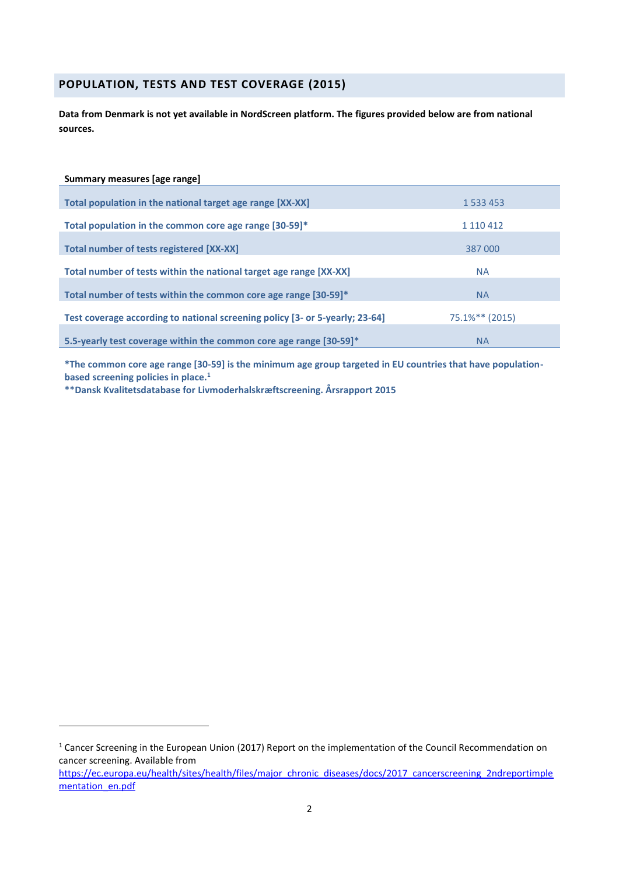### **POPULATION, TESTS AND TEST COVERAGE (2015)**

**Data from Denmark is not yet available in NordScreen platform. The figures provided below are from national sources.**

#### **Summary measures [age range]**

1

| Total population in the national target age range [XX-XX]                                                                                       | 1 533 453                   |
|-------------------------------------------------------------------------------------------------------------------------------------------------|-----------------------------|
| Total population in the common core age range [30-59]*                                                                                          | 1 110 412                   |
| Total number of tests registered [XX-XX]                                                                                                        | 387 000                     |
| Total number of tests within the national target age range [XX-XX]                                                                              | <b>NA</b>                   |
|                                                                                                                                                 |                             |
|                                                                                                                                                 |                             |
| 5.5-yearly test coverage within the common core age range [30-59]*                                                                              | <b>NA</b>                   |
| Total number of tests within the common core age range [30-59]*<br>Test coverage according to national screening policy [3- or 5-yearly; 23-64] | <b>NA</b><br>75.1%** (2015) |

**\*The common core age range [30-59] is the minimum age group targeted in EU countries that have populationbased screening policies in place.<sup>1</sup>**

**\*\*Dansk Kvalitetsdatabase for Livmoderhalskræftscreening. Årsrapport 2015**

<sup>&</sup>lt;sup>1</sup> Cancer Screening in the European Union (2017) Report on the implementation of the Council Recommendation on cancer screening. Available from

[https://ec.europa.eu/health/sites/health/files/major\\_chronic\\_diseases/docs/2017\\_cancerscreening\\_2ndreportimple](https://ec.europa.eu/health/sites/health/files/major_chronic_diseases/docs/2017_cancerscreening_2ndreportimplementation_en.pdf) [mentation\\_en.pdf](https://ec.europa.eu/health/sites/health/files/major_chronic_diseases/docs/2017_cancerscreening_2ndreportimplementation_en.pdf)